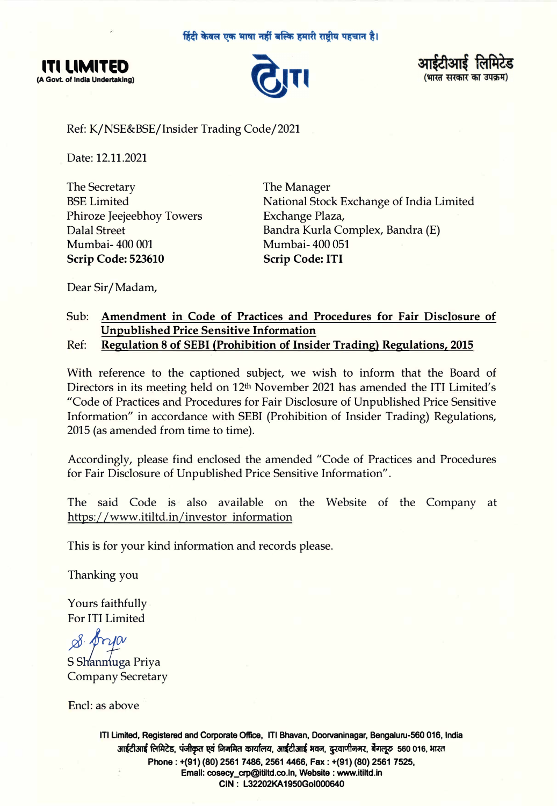





Ref: K/NSE&BSE/Insider Trading Code/2021

Date: 12.11.2021

The Secretary BSE Limited Phiroze Jeejeebhoy Towers Dalal Street Mumbai- 400 001 **Scrip Code: 523610** 

The Manager National Stock Exchange of India Limited Exchange Plaza, Bandra Kurla Complex, Bandra (E) Mumbai- 400 051 **Scrip Code: ITI** 

Dear Sir/ Madam,

## Sub: **Amendment in Code of Practices and Procedures for Fair Disclosure of Unpublished Price Sensitive Information**

Ref: **Regulation 8 of SEBI (Prohibition of Insider Trading) Regulations, 2015**

With reference to the captioned subject, we wish to inform that the Board of Directors in its meeting held on 12<sup>th</sup> November 2021 has amended the ITI Limited's "Code of Practices and Procedures for Fair Disclosure of Unpublished Price Sensitive Information" in accordance with SEBI (Prohibition of Insider Trading) Regulations, 2015 (as amended from time to time).

Accordingly, please find enclosed the amended "Code of Practices and Procedures for Fair Disclosure of Unpublished Price Sensitive Information".

The said Code is also available on the Website of the Company at https://www.itiltd.in/investor\_information

This is for your kind information and records please.

Thanking you

Yours faithfully For ITI Limited

*,QB· �(}I*

S Shanmuga Priya Company Secretary

Encl: as above

**ITI Limited, Registered and Corporate Office, ITI Bhavan, Doorvaninagar, Bengaluru-560 016, India** आईटीआई लिमिटेड, पंजीकृत एवं निगमित कार्यालय, आईटीआई भवन, दुरवाणीनगर, बैगलूरु 560 016, भारत **Phone: +(91) (80) 2561 7486, 2561 4466, Fax: +(91) (80) 2561 7525, Emall: cosecy\_crp@ltiltd.co.ln, Website : www.ltlltd.in CIN: L32202KA1950Gol000640**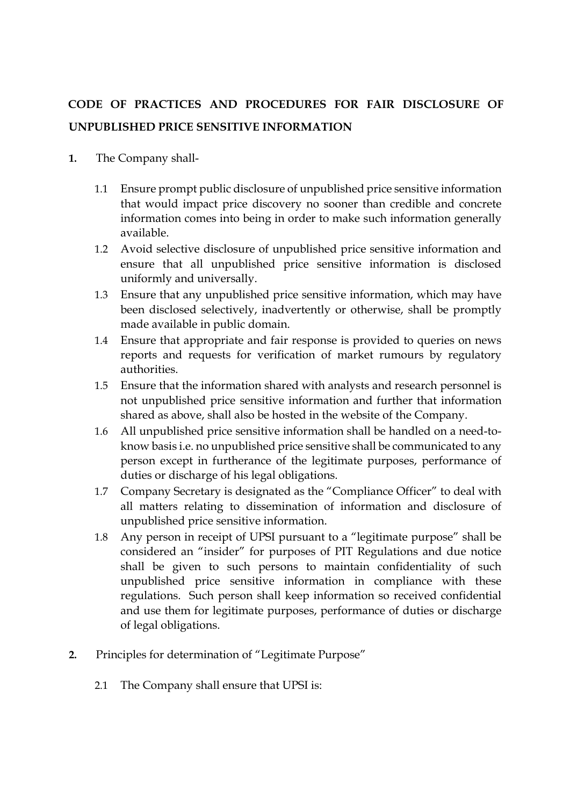## **CODE OF PRACTICES AND PROCEDURES FOR FAIR DISCLOSURE OF UNPUBLISHED PRICE SENSITIVE INFORMATION**

- **1.** The Company shall-
	- 1.1 Ensure prompt public disclosure of unpublished price sensitive information that would impact price discovery no sooner than credible and concrete information comes into being in order to make such information generally available.
	- 1.2 Avoid selective disclosure of unpublished price sensitive information and ensure that all unpublished price sensitive information is disclosed uniformly and universally.
	- 1.3 Ensure that any unpublished price sensitive information, which may have been disclosed selectively, inadvertently or otherwise, shall be promptly made available in public domain.
	- 1.4 Ensure that appropriate and fair response is provided to queries on news reports and requests for verification of market rumours by regulatory authorities.
	- 1.5 Ensure that the information shared with analysts and research personnel is not unpublished price sensitive information and further that information shared as above, shall also be hosted in the website of the Company.
	- 1.6 All unpublished price sensitive information shall be handled on a need-toknow basis i.e. no unpublished price sensitive shall be communicated to any person except in furtherance of the legitimate purposes, performance of duties or discharge of his legal obligations.
	- 1.7 Company Secretary is designated as the "Compliance Officer" to deal with all matters relating to dissemination of information and disclosure of unpublished price sensitive information.
	- 1.8 Any person in receipt of UPSI pursuant to a "legitimate purpose" shall be considered an "insider" for purposes of PIT Regulations and due notice shall be given to such persons to maintain confidentiality of such unpublished price sensitive information in compliance with these regulations. Such person shall keep information so received confidential and use them for legitimate purposes, performance of duties or discharge of legal obligations.
- **2.** Principles for determination of "Legitimate Purpose"
	- 2.1 The Company shall ensure that UPSI is: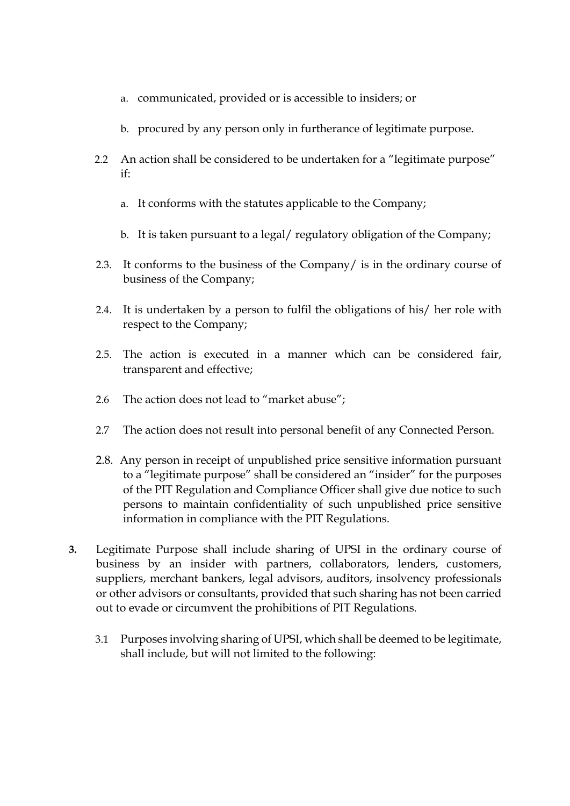- a. communicated, provided or is accessible to insiders; or
- b. procured by any person only in furtherance of legitimate purpose.
- 2.2 An action shall be considered to be undertaken for a "legitimate purpose" if:
	- a. It conforms with the statutes applicable to the Company;
	- b. It is taken pursuant to a legal/ regulatory obligation of the Company;
- 2.3. It conforms to the business of the Company/ is in the ordinary course of business of the Company;
- 2.4. It is undertaken by a person to fulfil the obligations of his/ her role with respect to the Company;
- 2.5. The action is executed in a manner which can be considered fair, transparent and effective;
- 2.6 The action does not lead to "market abuse";
- 2.7 The action does not result into personal benefit of any Connected Person.
- 2.8. Any person in receipt of unpublished price sensitive information pursuant to a "legitimate purpose" shall be considered an "insider" for the purposes of the PIT Regulation and Compliance Officer shall give due notice to such persons to maintain confidentiality of such unpublished price sensitive information in compliance with the PIT Regulations.
- **3.** Legitimate Purpose shall include sharing of UPSI in the ordinary course of business by an insider with partners, collaborators, lenders, customers, suppliers, merchant bankers, legal advisors, auditors, insolvency professionals or other advisors or consultants, provided that such sharing has not been carried out to evade or circumvent the prohibitions of PIT Regulations.
	- 3.1 Purposes involving sharing of UPSI, which shall be deemed to be legitimate, shall include, but will not limited to the following: